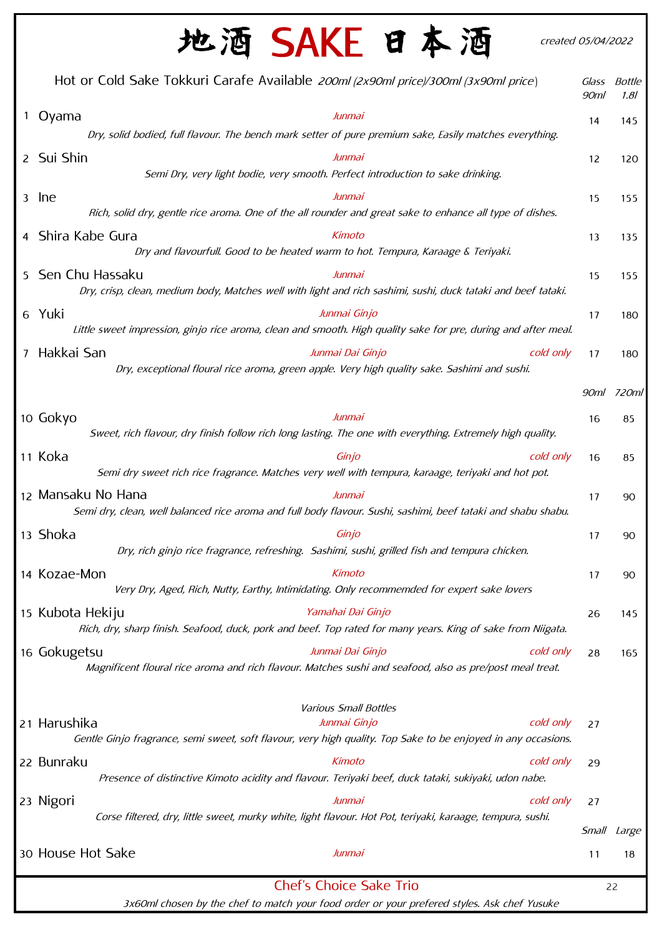|   | 地酒 SAKE 日本酒                                                                                                                                                | created 05/04/2022 |                |
|---|------------------------------------------------------------------------------------------------------------------------------------------------------------|--------------------|----------------|
|   | Hot or Cold Sake Tokkuri Carafe Available 200ml (2x90ml price)/300ml (3x90ml price)                                                                        | Glass<br>90ml      | Bottle<br>1.81 |
| 1 | Oyama<br>Junmai<br>Dry, solid bodied, full flavour. The bench mark setter of pure premium sake, Easily matches everything.                                 | 14                 | 145            |
|   | 2 Sui Shin<br>Junmai<br>Semi Dry, very light bodie, very smooth. Perfect introduction to sake drinking.                                                    | 12                 | 120            |
| 3 | lne<br>Junmai<br>Rich, solid dry, gentle rice aroma. One of the all rounder and great sake to enhance all type of dishes.                                  | 15                 | 155            |
|   | 4 Shira Kabe Gura<br>Kimoto<br>Dry and flavourfull. Good to be heated warm to hot. Tempura, Karaage & Teriyaki.                                            | 13                 | 135            |
|   | 5 Sen Chu Hassaku<br>Junmai<br>Dry, crisp, clean, medium body, Matches well with light and rich sashimi, sushi, duck tataki and beef tataki.               | 15                 | 155            |
|   | 6 Yuki<br>Junmai Ginjo<br>Little sweet impression, ginjo rice aroma, clean and smooth. High quality sake for pre, during and after meal.                   | 17                 | 180            |
| 7 | Hakkai San<br>Junmai Dai Ginjo<br>cold only<br>Dry, exceptional floural rice aroma, green apple. Very high quality sake. Sashimi and sushi.                | 17                 | 180            |
|   |                                                                                                                                                            |                    | 90ml 720ml     |
|   | 10 Gokyo<br>Junmai<br>Sweet, rich flavour, dry finish follow rich long lasting. The one with everything. Extremely high quality.                           | 16                 | 85             |
|   | 11 Koka<br>Ginjo<br>cold only<br>Semi dry sweet rich rice fragrance. Matches very well with tempura, karaage, teriyaki and hot pot.                        | 16                 | 85             |
|   | 12 Mansaku No Hana<br>Junmai<br>Semi dry, clean, well balanced rice aroma and full body flavour. Sushi, sashimi, beef tataki and shabu shabu.              | 17                 | 90             |
|   | 13 Shoka<br>Ginjo<br>Dry, rich ginjo rice fragrance, refreshing. Sashimi, sushi, grilled fish and tempura chicken.                                         | 17                 | 90             |
|   | 14 Kozae-Mon<br>Kimoto<br>Very Dry, Aged, Rich, Nutty, Earthy, Intimidating. Only recommemded for expert sake lovers                                       | 17                 | 90             |
|   | Yamahai Dai Ginjo<br>15 Kubota Hekiju<br>Rich, dry, sharp finish. Seafood, duck, pork and beef. Top rated for many years. King of sake from Niigata.       | 26                 | 145            |
|   | 16 Gokugetsu<br>Junmai Dai Ginjo<br>cold only<br>Magnificent floural rice aroma and rich flavour. Matches sushi and seafood, also as pre/post meal treat.  | 28                 | 165            |
|   | <b>Various Small Bottles</b>                                                                                                                               |                    |                |
|   | 21 Harushika<br>Junmai Ginjo<br>cold only<br>Gentle Ginjo fragrance, semi sweet, soft flavour, very high quality. Top Sake to be enjoyed in any occasions. | 27                 |                |
|   | 22 Bunraku<br>Kimoto<br>cold only<br>Presence of distinctive Kimoto acidity and flavour. Teriyaki beef, duck tataki, sukiyaki, udon nabe.                  | 29                 |                |
|   | 23 Nigori<br>cold only<br>Junmai<br>Corse filtered, dry, little sweet, murky white, light flavour. Hot Pot, teriyaki, karaage, tempura, sushi.             | 27<br>Small        | Large          |
|   | 30 House Hot Sake<br>Junmai                                                                                                                                | 11                 | 18             |
|   | <b>Chef's Choice Sake Trio</b>                                                                                                                             |                    | 22             |

3x60ml chosen by the chef to match your food order or your prefered styles. Ask chef Yusuke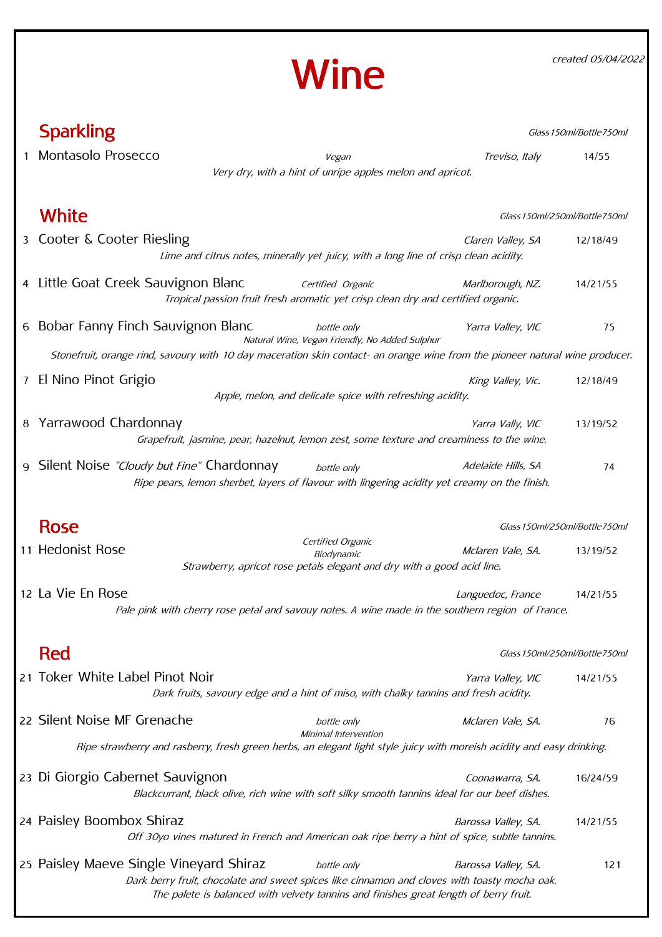created 05/04/2022



|   | <b>Sparkling</b><br>Glass 150ml/Bottle750ml                                                                                                |                                                                                                           |                               |          |
|---|--------------------------------------------------------------------------------------------------------------------------------------------|-----------------------------------------------------------------------------------------------------------|-------------------------------|----------|
|   | Montasolo Prosecco                                                                                                                         | Vegan                                                                                                     | Treviso, Italy                | 14/55    |
|   |                                                                                                                                            | Very dry, with a hint of unripe apples melon and apricot.                                                 |                               |          |
|   |                                                                                                                                            |                                                                                                           |                               |          |
|   | White                                                                                                                                      |                                                                                                           | Glass 150ml/250ml/Bottle750ml |          |
|   | 3 Cooter & Cooter Riesling                                                                                                                 | Lime and citrus notes, minerally yet juicy, with a long line of crisp clean acidity.                      | Claren Valley, SA             | 12/18/49 |
|   | 4 Little Goat Creek Sauvignon Blanc                                                                                                        | Certified Organic<br>Tropical passion fruit fresh aromatic yet crisp clean dry and certified organic.     | Marlborough, NZ.              | 14/21/55 |
|   | 6 Bobar Fanny Finch Sauvignon Blanc                                                                                                        | bottle only<br>Natural Wine, Vegan Friendly, No Added Sulphur                                             | Yarra Valley, VIC             | 75       |
|   | Stonefruit, orange rind, savoury with 10 day maceration skin contact- an orange wine from the pioneer natural wine producer.               |                                                                                                           |                               |          |
| 7 | El Nino Pinot Grigio                                                                                                                       | Apple, melon, and delicate spice with refreshing acidity.                                                 | King Valley, Vic.             | 12/18/49 |
|   |                                                                                                                                            |                                                                                                           |                               |          |
| 8 | Yarrawood Chardonnay<br>Grapefruit, jasmine, pear, hazelnut, lemon zest, some texture and creaminess to the wine.                          |                                                                                                           | Yarra Vally, VIC              | 13/19/52 |
|   |                                                                                                                                            |                                                                                                           |                               |          |
| 9 | Silent Noise "Cloudy but Fine" Chardonnay<br>Ripe pears, lemon sherbet, layers of flavour with lingering acidity yet creamy on the finish. | bottle only                                                                                               | Adelaide Hills, SA            | 74       |
|   |                                                                                                                                            |                                                                                                           |                               |          |
|   | <b>Rose</b>                                                                                                                                |                                                                                                           | Glass 150ml/250ml/Bottle750ml |          |
|   | 11 Hedonist Rose                                                                                                                           | Certified Organic<br>Biodynamic<br>Strawberry, apricot rose petals elegant and dry with a good acid line. | Mclaren Vale, SA.             | 13/19/52 |
|   | 12 La Vie En Rose<br>Pale pink with cherry rose petal and savouy notes. A wine made in the southern region of France.                      |                                                                                                           | Languedoc, France             | 14/21/55 |
|   | Red                                                                                                                                        |                                                                                                           | Glass 150ml/250ml/Bottle750ml |          |
|   | 21 Toker White Label Pinot Noir                                                                                                            |                                                                                                           | Yarra Valley, VIC             | 14/21/55 |
|   |                                                                                                                                            | Dark fruits, savoury edge and a hint of miso, with chalky tannins and fresh acidity.                      |                               |          |
|   | 22 Silent Noise MF Grenache                                                                                                                | bottle only<br>Minimal Intervention                                                                       | Mclaren Vale, SA.             | 76       |
|   | Ripe strawberry and rasberry, fresh green herbs, an elegant light style juicy with moreish acidity and easy drinking.                      |                                                                                                           |                               |          |
|   | 23 Di Giorgio Cabernet Sauvignon<br>Blackcurrant, black olive, rich wine with soft silky smooth tannins ideal for our beef dishes.         |                                                                                                           | Coonawarra, SA.               | 16/24/59 |
|   | 24 Paisley Boombox Shiraz<br>Off 30yo vines matured in French and American oak ripe berry a hint of spice, subtle tannins.                 |                                                                                                           | Barossa Valley, SA.           | 14/21/55 |
|   | 25 Paisley Maeve Single Vineyard Shiraz<br>Dark berry fruit, chocolate and sweet spices like cinnamon and cloves with toasty mocha oak.    | bottle only<br>The palete is balanced with velvety tannins and finishes great length of berry fruit.      | Barossa Valley, SA.           | 121      |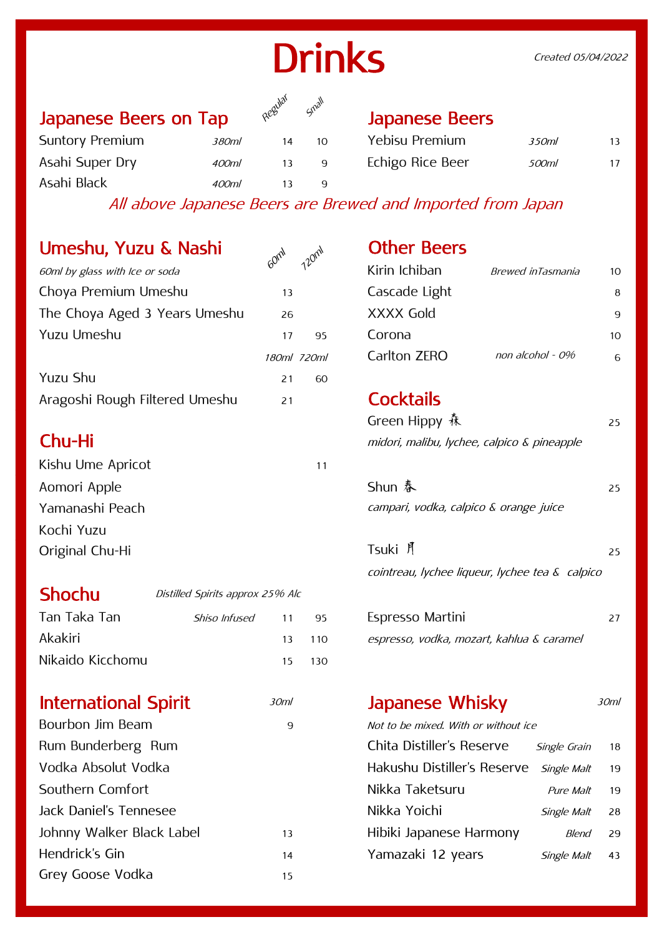# **Drinks**

## Japanese Beers on Tap Algebrand Supenese Beers



400ml 13 9

| Yebisu Premium   | 350 <sub>m</sub> | 13 |
|------------------|------------------|----|
| Echigo Rice Beer | 500ml            | 17 |

All above Japanese Beers are Brewed and Imported from Japan

## Umeshu, Yuzu & Nashi

| UITESITU, TUZU & NOSHI         | 120m<br>Gom | UUIEI DEEIS                        |                |
|--------------------------------|-------------|------------------------------------|----------------|
| 60ml by glass with Ice or soda |             | Kirin Ichiban<br>Brewed inTasmania | 1 <sup>C</sup> |
| Choya Premium Umeshu           | 13          | Cascade Light                      | 8              |
| The Choya Aged 3 Years Umeshu  | 26          | XXXX Gold                          | 9              |
| Yuzu Umeshu                    | 95<br>17    | Corona                             | 1 <sup>C</sup> |
|                                | 180ml 720ml | non alcohol - 0%<br>Carlton ZERO   | 6              |
| <b>Yuzu Shu</b>                | 60<br>21    |                                    |                |
| Aragoshi Rough Filtered Umeshu | 21          | <b>Cocktails</b>                   |                |

Suntory Premium 380ml 14 10

Asahi Super Dry 400ml 13 9

Asahi Black

| 11 |                                        |
|----|----------------------------------------|
|    | Shun 春                                 |
|    | campari, vodka, calpico & orange juice |
|    |                                        |
|    | Tsuki 月                                |
|    |                                        |

## Shochu Distilled Spirits approx 25% Alc Tan Taka Tan 11 95 27 Akakiri 13 110 espresso, vodka, mozart, kahlua & caramel Nikaido Kicchomu 15 130 Shiso Infused

## International Spirit **30ml Japanese Whisky** 30ml

Bourbon Jim Beam 9 9 Not to be mixed. With or without ice Rum Bunderberg Rum Vodka Absolut Vodka Southern Comfort Jack Daniel's Tennesee Johnny Walker Black Label 13 Hendrick's Gin 14 15 Grey Goose Vodka

## $\Omega_{\Omega_{\text{C}}^{\text{QNN}}}$  Other Beers

| $\alpha^{\nu}$<br>$\Lambda^2$ | Kirin Ichiban | Brewed inTasmania | 10 |
|-------------------------------|---------------|-------------------|----|
| 13                            | Cascade Light |                   | 8  |
| 26                            | XXXX Gold     |                   | q  |
| 95<br>17                      | Corona        |                   | 10 |
| 180ml 720ml                   | Carlton ZERO  | non alcohol - 0%  | 6  |

## **Cocktails**

|        | Green Hippy 森                               |  |
|--------|---------------------------------------------|--|
| Chu-Hi | midori, malibu, lychee, calpico & pineapple |  |

| Shun 春                                 | 25 |
|----------------------------------------|----|
| campari, vodka, calpico & orange juice |    |

| Tsuki 月                                         | 25 |
|-------------------------------------------------|----|
| cointreau, lychee liqueur, lychee tea & calpico |    |

| Espresso Martini                          |  |
|-------------------------------------------|--|
| espresso, vodka, mozart, kahlua & caramel |  |

| Chita Distiller's Reserve                      | Single Grain | 18 |
|------------------------------------------------|--------------|----|
| Hakushu Distiller's Reserve <i>Single Malt</i> |              | 19 |
| Nikka Taketsuru                                | Pure Malt    | 19 |
| Nikka Yoichi                                   | Single Malt  | 28 |
| Hibiki Japanese Harmony                        | Blend        | 29 |
| Yamazaki 12 years                              | Single Malt  | 43 |